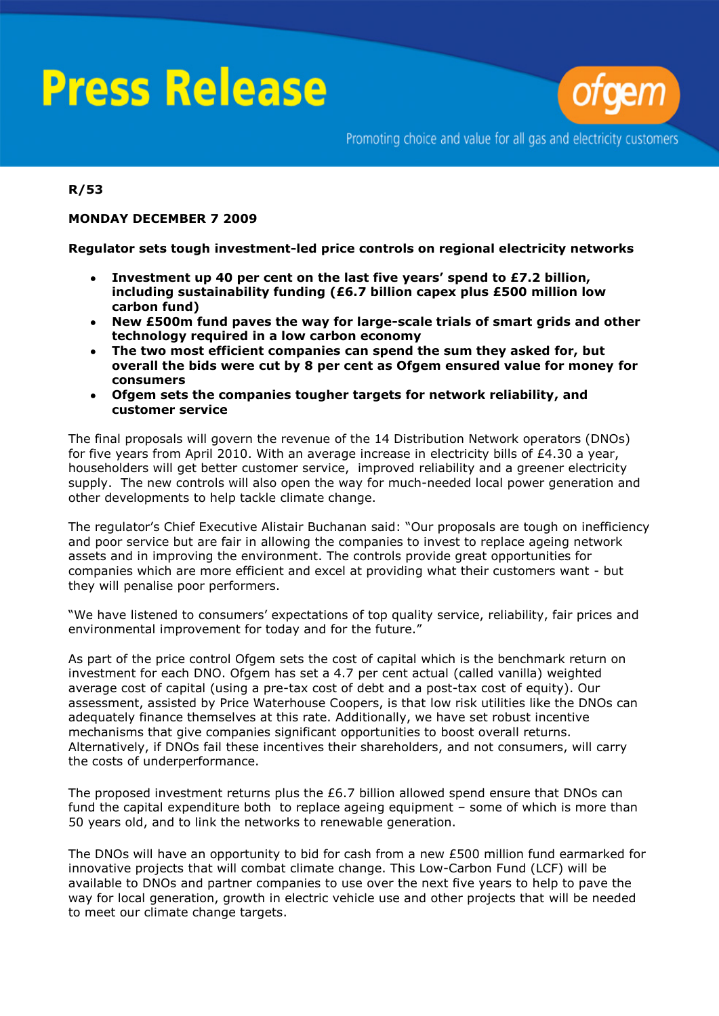# **Press Release**



Promoting choice and value for all gas and electricity customers

### **R/53**

#### **MONDAY DECEMBER 7 2009**

#### **Regulator sets tough investment-led price controls on regional electricity networks**

- **Investment up 40 per cent on the last five years' spend to £7.2 billion,**   $\bullet$ **including sustainability funding (£6.7 billion capex plus £500 million low carbon fund)**
- **New £500m fund paves the way for large-scale trials of smart grids and other**   $\bullet$ **technology required in a low carbon economy**
- **The two most efficient companies can spend the sum they asked for, but**   $\bullet$ **overall the bids were cut by 8 per cent as Ofgem ensured value for money for consumers**
- **Ofgem sets the companies tougher targets for network reliability, and customer service**

The final proposals will govern the revenue of the 14 Distribution Network operators (DNOs) for five years from April 2010. With an average increase in electricity bills of £4.30 a year, householders will get better customer service, improved reliability and a greener electricity supply. The new controls will also open the way for much-needed local power generation and other developments to help tackle climate change.

The regulator's Chief Executive Alistair Buchanan said: "Our proposals are tough on inefficiency and poor service but are fair in allowing the companies to invest to replace ageing network assets and in improving the environment. The controls provide great opportunities for companies which are more efficient and excel at providing what their customers want - but they will penalise poor performers.

"We have listened to consumers' expectations of top quality service, reliability, fair prices and environmental improvement for today and for the future."

As part of the price control Ofgem sets the cost of capital which is the benchmark return on investment for each DNO. Ofgem has set a 4.7 per cent actual (called vanilla) weighted average cost of capital (using a pre-tax cost of debt and a post-tax cost of equity). Our assessment, assisted by Price Waterhouse Coopers, is that low risk utilities like the DNOs can adequately finance themselves at this rate. Additionally, we have set robust incentive mechanisms that give companies significant opportunities to boost overall returns. Alternatively, if DNOs fail these incentives their shareholders, and not consumers, will carry the costs of underperformance.

The proposed investment returns plus the £6.7 billion allowed spend ensure that DNOs can fund the capital expenditure both to replace ageing equipment – some of which is more than 50 years old, and to link the networks to renewable generation.

The DNOs will have an opportunity to bid for cash from a new £500 million fund earmarked for innovative projects that will combat climate change. This Low-Carbon Fund (LCF) will be available to DNOs and partner companies to use over the next five years to help to pave the way for local generation, growth in electric vehicle use and other projects that will be needed to meet our climate change targets.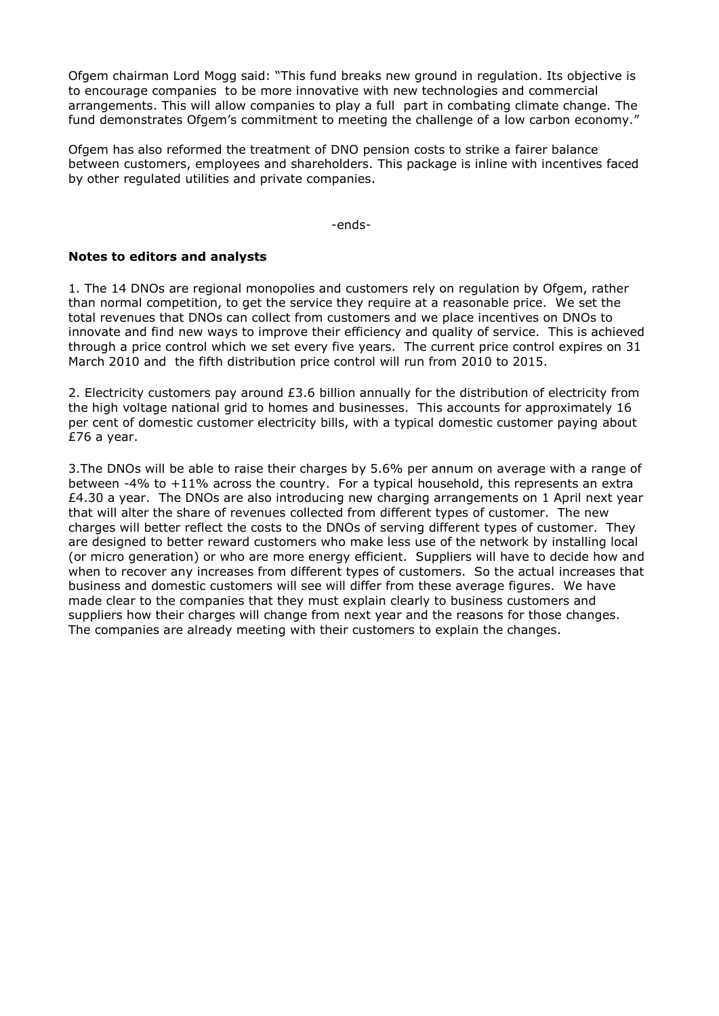Ofgem chairman Lord Mogg said: "This fund breaks new ground in regulation. Its objective is to encourage companies to be more innovative with new technologies and commercial arrangements. This will allow companies to play a full part in combating climate change. The fund demonstrates Ofgem's commitment to meeting the challenge of a low carbon economy."

Ofgem has also reformed the treatment of DNO pension costs to strike a fairer balance between customers, employees and shareholders. This package is inline with incentives faced by other regulated utilities and private companies.

-ends-

#### **Notes to editors and analysts**

1. The 14 DNOs are regional monopolies and customers rely on regulation by Ofgem, rather than normal competition, to get the service they require at a reasonable price. We set the total revenues that DNOs can collect from customers and we place incentives on DNOs to innovate and find new ways to improve their efficiency and quality of service. This is achieved through a price control which we set every five years. The current price control expires on 31 March 2010 and the fifth distribution price control will run from 2010 to 2015.

2. Electricity customers pay around £3.6 billion annually for the distribution of electricity from the high voltage national grid to homes and businesses. This accounts for approximately 16 per cent of domestic customer electricity bills, with a typical domestic customer paying about £76 a year.

3.The DNOs will be able to raise their charges by 5.6% per annum on average with a range of between -4% to +11% across the country. For a typical household, this represents an extra  $£4.30$  a year. The DNOs are also introducing new charging arrangements on 1 April next year that will alter the share of revenues collected from different types of customer. The new charges will better reflect the costs to the DNOs of serving different types of customer. They are designed to better reward customers who make less use of the network by installing local (or micro generation) or who are more energy efficient. Suppliers will have to decide how and when to recover any increases from different types of customers. So the actual increases that business and domestic customers will see will differ from these average figures. We have made clear to the companies that they must explain clearly to business customers and suppliers how their charges will change from next year and the reasons for those changes. The companies are already meeting with their customers to explain the changes.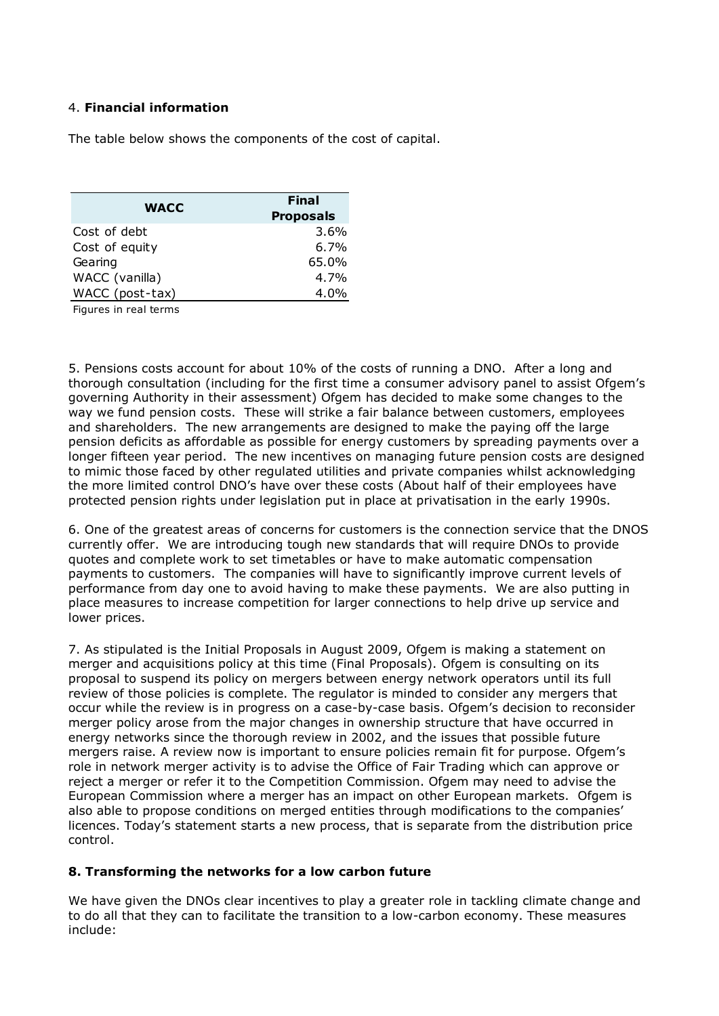## 4. **Financial information**

The table below shows the components of the cost of capital.

| <b>WACC</b>     | <b>Final</b>     |
|-----------------|------------------|
|                 | <b>Proposals</b> |
| Cost of debt    | 3.6%             |
| Cost of equity  | 6.7%             |
| Gearing         | 65.0%            |
| WACC (vanilla)  | 4.7%             |
| WACC (post-tax) | 4.0%             |
|                 |                  |

Figures in real terms

5. Pensions costs account for about 10% of the costs of running a DNO. After a long and thorough consultation (including for the first time a consumer advisory panel to assist Ofgem's governing Authority in their assessment) Ofgem has decided to make some changes to the way we fund pension costs. These will strike a fair balance between customers, employees and shareholders. The new arrangements are designed to make the paying off the large pension deficits as affordable as possible for energy customers by spreading payments over a longer fifteen year period. The new incentives on managing future pension costs are designed to mimic those faced by other regulated utilities and private companies whilst acknowledging the more limited control DNO's have over these costs (About half of their employees have protected pension rights under legislation put in place at privatisation in the early 1990s.

6. One of the greatest areas of concerns for customers is the connection service that the DNOS currently offer. We are introducing tough new standards that will require DNOs to provide quotes and complete work to set timetables or have to make automatic compensation payments to customers. The companies will have to significantly improve current levels of performance from day one to avoid having to make these payments. We are also putting in place measures to increase competition for larger connections to help drive up service and lower prices.

7. As stipulated is the Initial Proposals in August 2009, Ofgem is making a statement on merger and acquisitions policy at this time (Final Proposals). Ofgem is consulting on its proposal to suspend its policy on mergers between energy network operators until its full review of those policies is complete. The regulator is minded to consider any mergers that occur while the review is in progress on a case-by-case basis. Ofgem's decision to reconsider merger policy arose from the major changes in ownership structure that have occurred in energy networks since the thorough review in 2002, and the issues that possible future mergers raise. A review now is important to ensure policies remain fit for purpose. Ofgem's role in network merger activity is to advise the Office of Fair Trading which can approve or reject a merger or refer it to the Competition Commission. Ofgem may need to advise the European Commission where a merger has an impact on other European markets. Ofgem is also able to propose conditions on merged entities through modifications to the companies' licences. Today's statement starts a new process, that is separate from the distribution price control.

#### **8. Transforming the networks for a low carbon future**

We have given the DNOs clear incentives to play a greater role in tackling climate change and to do all that they can to facilitate the transition to a low-carbon economy. These measures include: